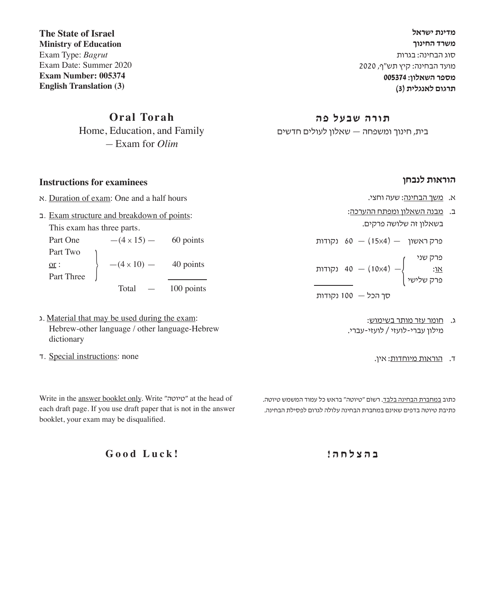**מדינת ישראל משרד החינוך** סוג הבחינה: בגרות מועד הבחינה: קיץ תש"ף, 2020 **מספר השאלון: 005374 תרגום לאנגלית )3(**

**תורה שבעל פה**

בית, חינוך ומשפחה — שאלון לעולים חדשים

#### **הוראות לנבחן**

- א. משך הבחינה: שעה וחצי.
- ב. מבנה השאלון ומפתח ההערכה: בשאלון זה שלושה פרקים.

פרק ראשון  $(15x4) - 60$  נקודות פרק שני — )4x10 — )40 נקודות או: { פרק שלישי

- סך הכל 100 נקודות
	- ג. חומר עזר מותר בשימוש: מילון עברי-לועזי / לועזי-עברי.
		- ד. הוראות מיוחדות: אין.

כתוב במחברת הבחינה בלבד. רשוֹם "טיוטה" בראש כל עמוד המשמש טיוטה. כתיבת טיוטה בדפים שאינם במחברת הבחינה עלולה לגרום לפסילת הבחינה.

**ב ה צ ל ח ה !**

**The State of Israel Ministry of Education** Exam Type: *Bagrut* Exam Date: Summer 2020 **Exam Number: 005374 English Translation (3)**

> **Oral Torah** Home, Education, and Family — Exam for *Olim*

**Instructions for examinees**

א. Duration of exam: One and a half hours

ב. Exam structure and breakdown of points:

This exam has three parts.

Part One  $-(4 \times 15)$  — 60 points Part Two  $\frac{\text{or}}{\text{Part Three}}$   $-$  (4 x 10) - 40 points 100 points

- ג. Material that may be used during the exam: Hebrew-other language / other language-Hebrew dictionary
- ד. Special instructions: none

Write in the answer booklet only. Write "טיוטה "at the head of each draft page. If you use draft paper that is not in the answer booklet, your exam may be disqualified.

**Good Luck!**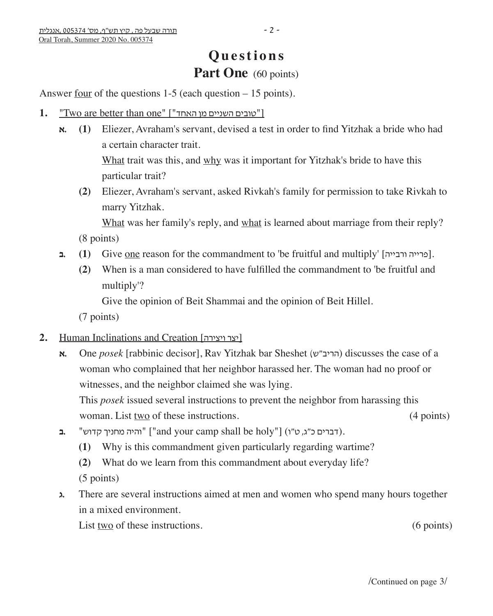# **Questions** Part One (60 points)

Answer <u>four</u> of the questions  $1-5$  (each question  $-15$  points).

- 1. "Two are better than one" ["האחד"]
	- **א.) 1 (**Eliezer, Avraham's servant, devised a test in order to find Yitzhak a bride who had a certain character trait.

 What trait was this, and why was it important for Yitzhak's bride to have this particular trait?

 **(2)** Eliezer, Avraham's servant, asked Rivkah's family for permission to take Rivkah to marry Yitzhak.

 What was her family's reply, and what is learned about marriage from their reply? (8 points)

- **בּ (1)** Give one reason for the commandment to 'be fruitful and multiply' [ברייה ורבייה].
	- **(2)** When is a man considered to have fulfilled the commandment to 'be fruitful and multiply'?

Give the opinion of Beit Shammai and the opinion of Beit Hillel.

(7 points)

#### **2.** Human Inclinations and Creation [ויצירה יצר[

**א.** One *posek* [rabbinic decisor], Rav Yitzhak bar Sheshet (הריב"ש) discusses the case of a woman who complained that her neighbor harassed her. The woman had no proof or witnesses, and the neighbor claimed she was lying.

This *posek* issued several instructions to prevent the neighbor from harassing this woman. List two of these instructions. (4 points)

- .(דברים כ"ג, ט"ו) ["holy be shall camp your and" ["והיה מחניך קדוש" **.ב**
	- **(1)** Why is this commandment given particularly regarding wartime?
	- **(2)** What do we learn from this commandment about everyday life?

(5 points)

**ג.** There are several instructions aimed at men and women who spend many hours together in a mixed environment.

List two of these instructions. (6 points) (6 points)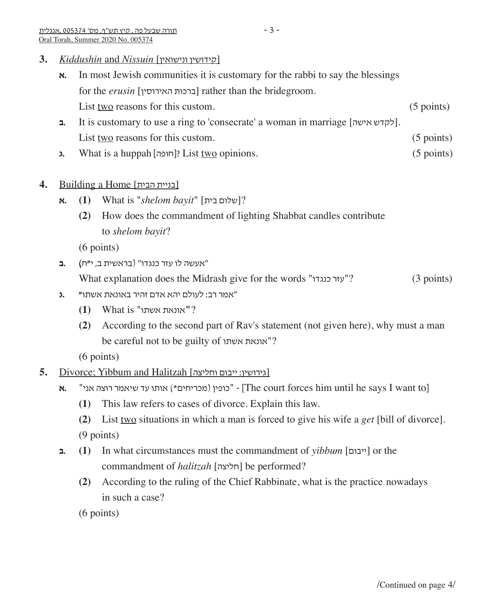- **א.** In most Jewish communities it is customary for the rabbi to say the blessings for the *erusin* [האירוסין ברכות [rather than the bridegroom. List <u>two</u> reasons for this custom. (5 points)
- **ב.** It is customary to use a ring to 'consecrate' a woman in marriage [לקדש אישה]. List <u>two</u> reasons for this custom. (5 points)
- **A.** What is a huppah [חופה]? List two opinions. (5 points)

## **4.** Building a Home [הבית בניית[

- **א.) 1 (**What is "*shelom bayit*" [בית שלום?[
	- **(2)** How does the commandment of lighting Shabbat candles contribute to *shelom bayit*?

(6 points)

"אעשה לו עזר כנגדו" )בראשית ב, י**"**ח**) .ב**

What explanation does the Midrash give for the words "יעזר כנגדו"? (3 points)

- "אמר רב: לעולם יהא אדם זהיר באונאת אשתו**" .ג**
	- ?**"**אונאת אשתו" is What**) 1 (**
	- **(2)** According to the second part of Rav's statement (not given here), why must a man be careful not to be guilty of אשתו אונאת ?"

(6 points)

- 5. Divorce; Yibbum and Halitzah [וגירושין: ייבום וחליצה]
	- **א.** "כופין (מכריחים \*) אותו עד שיאמר רוצה אני" [The court forces him until he says I want to]
		- **(1)** This law refers to cases of divorce. Explain this law.
		- **(2)** List two situations in which a man is forced to give his wife a *get* [bill of divorce]. (9 points)
	- **ב.) 1 (**In what circumstances must the commandment of *yibbum* [ייבום [or the commandment of *halitzah* [חליצה] be performed?
		- **(2)** According to the ruling of the Chief Rabbinate, what is the practice nowadays in such a case?

(6 points)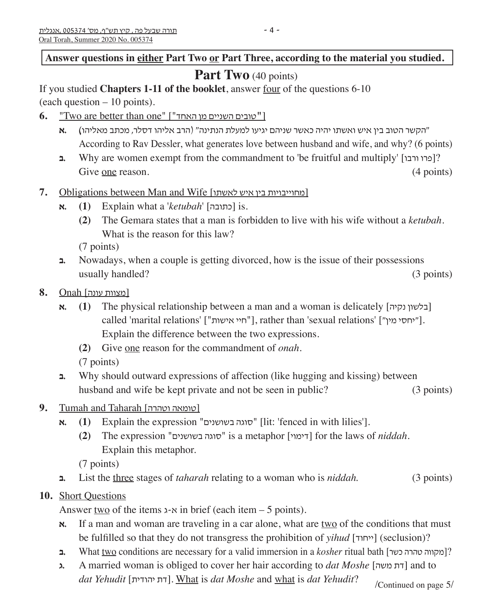Answer questions in either Part Two or Part Three, according to the material you studied.

## **Part Two** (40 points)

If you studied **Chapters 1-11 of the booklet**, answer four of the questions 6-10 (each question – 10 points).

- **6.** "Two are better than one" ["האחד מן השניים טובים[**"**
	- "הקשר הטוב בין איש ואשתו יהיה כאשר שניהם יגיעו למעלת הנתינה" )הרב אליהו דסלר, מכתב מאליהו**) .א** According to Rav Dessler, what generates love between husband and wife, and why? (6 points)
- **ב.** Why are women exempt from the commandment to 'be fruitful and multiply' [ורבו פרו?[ Give <u>one</u> reason. (4 points)
- 7. Obligations between Man and Wife [לאחוייבויות בין איש לאשתו
	- **א.) 1 (**Explain what a '*ketubah*' [כתובה [is.
		- **(2)** The Gemara states that a man is forbidden to live with his wife without a *ketubah*. What is the reason for this law?

(7 points)

- **ב.** Nowadays, when a couple is getting divorced, how is the issue of their possessions usually handled? (3 points)
- [מצוות עונה] Onah **8.**
	- **א. (1)** The physical relationship between a man and a woman is delicately [נלשון נקיה] called 'marital relations' ["חיי אישות"], rather than 'sexual relations' ["יחסי מין"]. Explain the difference between the two expressions.
		- **(2)** Give one reason for the commandment of *onah*. (7 points)
	- **ב.** Why should outward expressions of affection (like hugging and kissing) between husband and wife be kept private and not be seen in public? (3 points)
- **9.** Tumah and Taharah [וטהרה טומאה[
	- **א. (1)** Explain the expression "סוגה בשושנים" [lit: 'fenced in with lilies'].
		- **(2)** The expression "בשושנים סוגה "is a metaphor [דימוי [for the laws of *niddah*. Explain this metaphor.

(7 points)

**ב.** List the three stages of *taharah* relating to a woman who is *niddah*. (3 points)

## **10.** Short Questions

Answer two of the items  $x \cdot x$  in brief (each item – 5 points).

- **x.** If a man and woman are traveling in a car alone, what are two of the conditions that must be fulfilled so that they do not transgress the prohibition of *yihud* [ייחוד) [seclusion)?
- **ב.** What <u>two</u> conditions are necessary for a valid immersion in a *kosher* ritual bath [כמקווה טהרה כשר]?
- **ג.** A married woman is obliged to cover her hair according to *dat Moshe* [משה דת [and to *dat Yehudit* [יהודית דת[. What is *dat Moshe* and what is *dat Yehudit*? /Continued on page 5/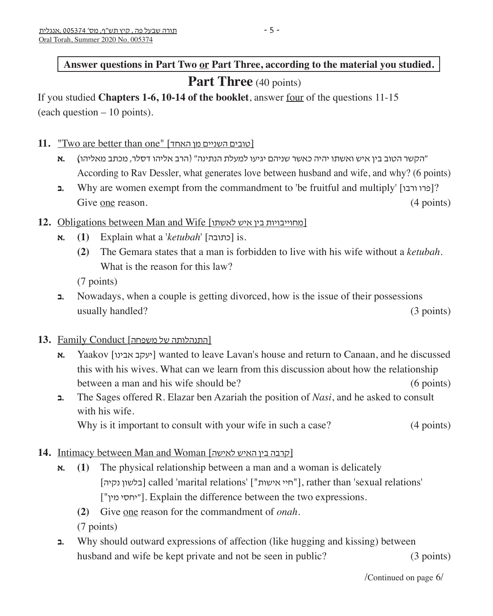## **Answer questions in Part Two or Part Three, according to the material you studied.**

## **Part Three** (40 points)

If you studied **Chapters 1-6, 10-14 of the booklet**, answer four of the questions 11-15 (each question – 10 points).

- 11. "Two are better than one" [כוובים השניים מן האחד]
	- "הקשר הטוב בין איש ואשתו יהיה כאשר שניהם יגיעו למעלת הנתינה" )הרב אליהו דסלר, מכתב מאליהו**) .א** According to Rav Dessler, what generates love between husband and wife, and why? (6 points)
	- **ב.** Why are women exempt from the commandment to 'be fruitful and multiply' [ורבו פרו?[ Give <u>one</u> reason. (4 points)

### 12. Obligations between Man and Wife [כאחוייבויות בין איש לאשתו

- **א.) 1 (**Explain what a '*ketubah*' [כתובה [is.
	- **(2)** The Gemara states that a man is forbidden to live with his wife without a *ketubah*. What is the reason for this law?

(7 points)

**ב.** Nowadays, when a couple is getting divorced, how is the issue of their possessions usually handled? (3 points)

#### [התנהלותה של משפחה] Conduct Family **13.**

- **א.** Yaakov [יעקב אבינו] wanted to leave Lavan's house and return to Canaan, and he discussed this with his wives. What can we learn from this discussion about how the relationship between a man and his wife should be?(6 points)
- **ב.** The Sages offered R. Elazar ben Azariah the position of *Nasi*, and he asked to consult with his wife.

Why is it important to consult with your wife in such a case? (4 points)

## 14. Intimacy between Man and Woman [לקרבה בין האיש לאישה]

- $\mathbf{x}$ **.** (1) The physical relationship between a man and a woman is delicately [נלשון נקיה] called 'marital relations' ["חיי אישות"], rather than 'sexual relations' ["יחסי מין"]. Explain the difference between the two expressions.
	- **(2)** Give one reason for the commandment of *onah*.

(7 points)

**ב.** Why should outward expressions of affection (like hugging and kissing) between husband and wife be kept private and not be seen in public? (3 points)

/Continued on page 6/